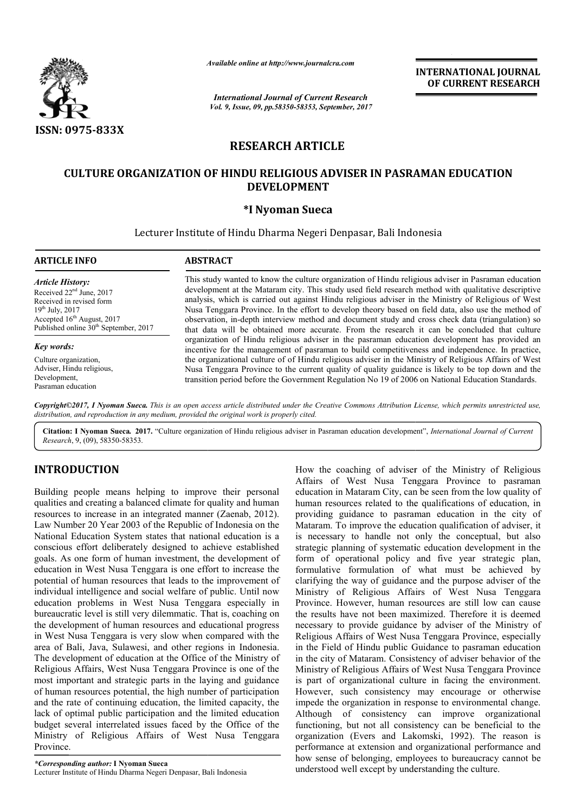

*Available online at http://www.journalcra.com*

*International Journal of Current Research Vol. 9, Issue, 09, pp.58350-58353, September, 2017* **INTERNATIONAL JOURNAL OF CURRENT RESEARCH**

# **RESEARCH ARTICLE**

## **CULTURE ORGANIZATION OF HINDU RELIGIOUS ADVISER IN PASRAMAN EDUCATION EDUCATION DEVELOPMENT**

### **\*I Nyoman Sueca**

Lecturer Institute of Hindu Dharma Negeri Denpasar, Bali Indonesia

| <b>ARTICLE INFO</b>                                                                                                                                                                     | <b>ABSTRACT</b>                                                                                                                                                                                                                                                                                                                                                                                                                                                                                                                                                                                                               |
|-----------------------------------------------------------------------------------------------------------------------------------------------------------------------------------------|-------------------------------------------------------------------------------------------------------------------------------------------------------------------------------------------------------------------------------------------------------------------------------------------------------------------------------------------------------------------------------------------------------------------------------------------------------------------------------------------------------------------------------------------------------------------------------------------------------------------------------|
| Article History:<br>Received $22nd$ June, 2017<br>Received in revised form<br>$19^{th}$ July, 2017<br>Accepted $16th$ August, 2017<br>Published online 30 <sup>th</sup> September, 2017 | This study wanted to know the culture organization of Hindu religious adviser in Pasraman education<br>development at the Mataram city. This study used field research method with qualitative descriptive<br>analysis, which is carried out against Hindu religious adviser in the Ministry of Religious of West<br>Nusa Tenggara Province. In the effort to develop theory based on field data, also use the method of<br>observation, in-depth interview method and document study and cross check data (triangulation) so<br>that data will be obtained more accurate. From the research it can be concluded that culture |
| Key words:                                                                                                                                                                              | organization of Hindu religious adviser in the pasraman education development has provided an<br>incentive for the management of pastaman to build competitiveness and independence. In practice,                                                                                                                                                                                                                                                                                                                                                                                                                             |
| Culture organization,                                                                                                                                                                   | the organizational culture of of Hindu religious adviser in the Ministry of Religious Affairs of West                                                                                                                                                                                                                                                                                                                                                                                                                                                                                                                         |
| Adviser, Hindu religious,                                                                                                                                                               | Nusa Tenggara Province to the current quality of quality guidance is likely to be top down and the                                                                                                                                                                                                                                                                                                                                                                                                                                                                                                                            |
| Development,                                                                                                                                                                            | transition period before the Government Regulation No 19 of 2006 on National Education Standards.                                                                                                                                                                                                                                                                                                                                                                                                                                                                                                                             |

Copyright©2017, I Nyoman Sueca. This is an open access article distributed under the Creative Commons Attribution License, which permits unrestricted use, *distribution, and reproduction in any medium, provided the original work is properly cited.*

Citation: I Nyoman Sueca. 2017. "Culture organization of Hindu religious adviser in Pasraman education development", *International Journal of Current Research*, 9, (09), 58350-58353.

## **INTRODUCTION**

Pasraman education

Building people means helping to improve their personal qualities and creating a balanced climate for quality and human resources to increase in an integrated manner (Zaenab, 2012). Law Number 20 Year 2003 of the Republic of Indonesia on the National Education System states that national education is a conscious effort deliberately designed to achieve established goals. As one form of human investment, the development of education in West Nusa Tenggara is one effort to increase the potential of human resources that leads to the improvement of individual intelligence and social welfare of public. Until now education problems in West Nusa Tenggara especially in bureaucratic level is still very dilemmatic. That is, coaching on the development of human resources and educational progress in West Nusa Tenggara is very slow when compared with the area of Bali, Java, Sulawesi, and other regions in Indonesia. The development of education at the Office of the Ministry of Religious Affairs, West Nusa Tenggara Province is one of the most important and strategic parts in the laying and guidance of human resources potential, the high number of participation and the rate of continuing education, the limited capacity, the lack of optimal public participation and the limited education budget several interrelated issues faced by the Office of the Ministry of Religious Affairs of West Nusa Tenggara Province.

*\*Corresponding author:* **I Nyoman Sueca** Lecturer Institute of Hindu Dharma Negeri Denpasar, Bali Indonesia

**IUCTION**<br>
How the coaching of adviser of the Ministry of Religious<br>
Affairs of West Nusa Tengara Province to parsmann<br>
education in Mataram City, can be seen from the low quality of<br>
decreasing a balanced climate for qual Affairs of West Nusa Tenggara Province to pasraman education in Mataram City, can be seen from the low quality of human resources related to the qualifications of education, in providing guidance to pasraman education in the city of Mataram. To improve the education qualification of adviser, it is necessary to handle not only the conceptual, but also strategic planning of systematic education development in the form of operational policy and five year strategic plan, formulative formulation of what must be achieved by clarifying the way of guidance and the purpose adviser of the Ministry of Religious Affairs of West Nusa Tenggara Province. However, human resources are still low can cause the results have not been maximized. Therefore it is deemed necessary to provide guidance by adviser of the Ministry of Religious Affairs of West Nusa Tenggara Province, especially in the Field of Hindu public Guidance to pasraman education in the city of Mataram. Consistency of adviser behavior of the Ministry of Religious Affairs of West Nusa Tenggara Province is part of organizational culture in facing the environment. However, such consistency may encourage or otherwise impede the organization in response to environmental change. Although of consistency can improve organizational functioning, but not all consistency can be beneficial to the organization (Evers and Lakomski, 1992). The reaso performance at extension and organizational performance and how sense of belonging, employees to bureaucracy cannot be understood well except by understanding the culture. the coaching of adviser of the Ministry of Religious<br>s of West Nusa Tenggara Province to pasraman<br>tion in Mataram City, can be seen from the low quality of<br>n resources related to the qualifications of education, in<br>ling gu However, human resources are still low can cause<br>s have not been maximized. Therefore it is deemed<br>to provide guidance by adviser of the Ministry of<br>Affairs of West Nusa Tenggara Province, especially<br>ld of Hindu public Gui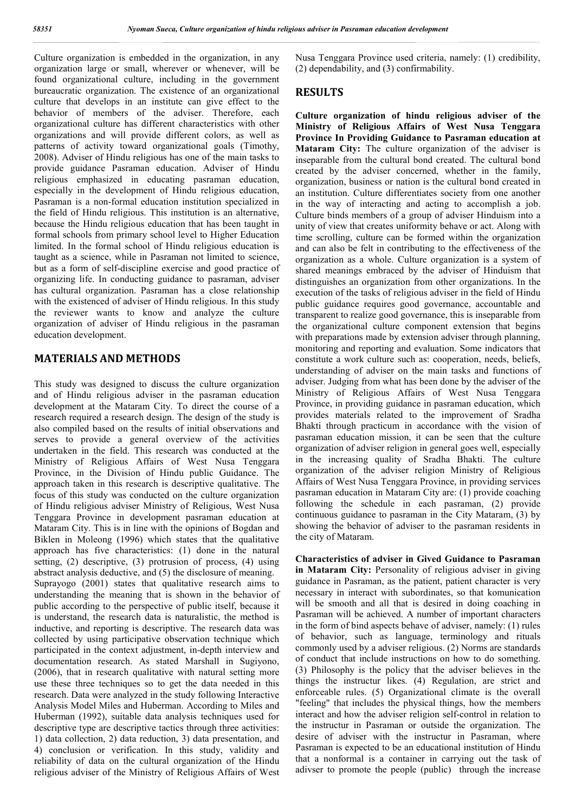Culture organization is embedded in the organization, in any organization large or small, wherever or whenever, will be found organizational culture, including in the government bureaucratic organization. The existence of an organizational culture that develops in an institute can give effect to the behavior of members of the adviser. Therefore, each organizational culture has different characteristics with other organizations and will provide different colors, as well as patterns of activity toward organizational goals (Timothy, 2008). Adviser of Hindu religious has one of the main tasks to provide guidance Pasraman education. Adviser of Hindu religious emphasized in educating pasraman education, especially in the development of Hindu religious education, Pasraman is a non-formal education institution specialized in the field of Hindu religious. This institution is an alternative, because the Hindu religious education that has been taught in formal schools from primary school level to Higher Education limited. In the formal school of Hindu religious education is taught as a science, while in Pasraman not limited to science, but as a form of self-discipline exercise and good practice of organizing life. In conducting guidance to pasraman, adviser has cultural organization. Pasraman has a close relationship with the existenced of adviser of Hindu religious. In this study the reviewer wants to know and analyze the culture organization of adviser of Hindu religious in the pasraman education development.

## **MATERIALS AND METHODS**

This study was designed to discuss the culture organization and of Hindu religious adviser in the pasraman education development at the Mataram City. To direct the course of a research required a research design. The design of the study is also compiled based on the results of initial observations and serves to provide a general overview of the activities undertaken in the field. This research was conducted at the Ministry of Religious Affairs of West Nusa Tenggara Province, in the Division of Hindu public Guidance. The approach taken in this research is descriptive qualitative. The focus of this study was conducted on the culture organization of Hindu religious adviser Ministry of Religious, West Nusa Tenggara Province in development pasraman education at Mataram City. This is in line with the opinions of Bogdan and Biklen in Moleong (1996) which states that the qualitative approach has five characteristics: (1) done in the natural setting, (2) descriptive, (3) protrusion of process, (4) using abstract analysis deductive, and (5) the disclosure of meaning. Suprayogo (2001) states that qualitative research aims to understanding the meaning that is shown in the behavior of public according to the perspective of public itself, because it is understand, the research data is naturalistic, the method is inductive, and reporting is descriptive. The research data was collected by using participative observation technique which participated in the context adjustment, in-depth interview and documentation research. As stated Marshall in Sugiyono, (2006), that in research qualitative with natural setting more use these three techniques so to get the data needed in this research. Data were analyzed in the study following Interactive Analysis Model Miles and Huberman. According to Miles and Huberman (1992), suitable data analysis techniques used for descriptive type are descriptive tactics through three activities: 1) data collection, 2) data reduction, 3) data presentation, and 4) conclusion or verification. In this study, validity and reliability of data on the cultural organization of the Hindu religious adviser of the Ministry of Religious Affairs of West Nusa Tenggara Province used criteria, namely: (1) credibility, (2) dependability, and (3) confirmability.

### **RESULTS**

**Culture organization of hindu religious adviser of the Ministry of Religious Affairs of West Nusa Tenggara Province In Providing Guidance to Pasraman education at Mataram City:** The culture organization of the adviser is inseparable from the cultural bond created. The cultural bond created by the adviser concerned, whether in the family, organization, business or nation is the cultural bond created in an institution. Culture differentiates society from one another in the way of interacting and acting to accomplish a job. Culture binds members of a group of adviser Hinduism into a unity of view that creates uniformity behave or act. Along with time scrolling, culture can be formed within the organization and can also be felt in contributing to the effectiveness of the organization as a whole. Culture organization is a system of shared meanings embraced by the adviser of Hinduism that distinguishes an organization from other organizations. In the execution of the tasks of religious adviser in the field of Hindu public guidance requires good governance, accountable and transparent to realize good governance, this is inseparable from the organizational culture component extension that begins with preparations made by extension adviser through planning, monitoring and reporting and evaluation. Some indicators that constitute a work culture such as: cooperation, needs, beliefs, understanding of adviser on the main tasks and functions of adviser. Judging from what has been done by the adviser of the Ministry of Religious Affairs of West Nusa Tenggara Province, in providing guidance in pasraman education, which provides materials related to the improvement of Sradha Bhakti through practicum in accordance with the vision of pasraman education mission, it can be seen that the culture organization of adviser religion in general goes well, especially in the increasing quality of Sradha Bhakti. The culture organization of the adviser religion Ministry of Religious Affairs of West Nusa Tenggara Province, in providing services pasraman education in Mataram City are: (1) provide coaching following the schedule in each pasraman, (2) provide continuous guidance to pasraman in the City Mataram, (3) by showing the behavior of adviser to the pasraman residents in the city of Mataram.

**Characteristics of adviser in Gived Guidance to Pasraman in Mataram City:** Personality of religious adviser in giving guidance in Pasraman, as the patient, patient character is very necessary in interact with subordinates, so that komunication will be smooth and all that is desired in doing coaching in Pasraman will be achieved. A number of important characters in the form of bind aspects behave of adviser, namely: (1) rules of behavior, such as language, terminology and rituals commonly used by a adviser religious. (2) Norms are standards of conduct that include instructions on how to do something. (3) Philosophy is the policy that the adviser believes in the things the instructur likes. (4) Regulation, are strict and enforceable rules. (5) Organizational climate is the overall "feeling" that includes the physical things, how the members interact and how the adviser religion self-control in relation to the instructur in Pasraman or outside the organization. The desire of adviser with the instructur in Pasraman, where Pasraman is expected to be an educational institution of Hindu that a nonformal is a container in carrying out the task of adivser to promote the people (public) through the increase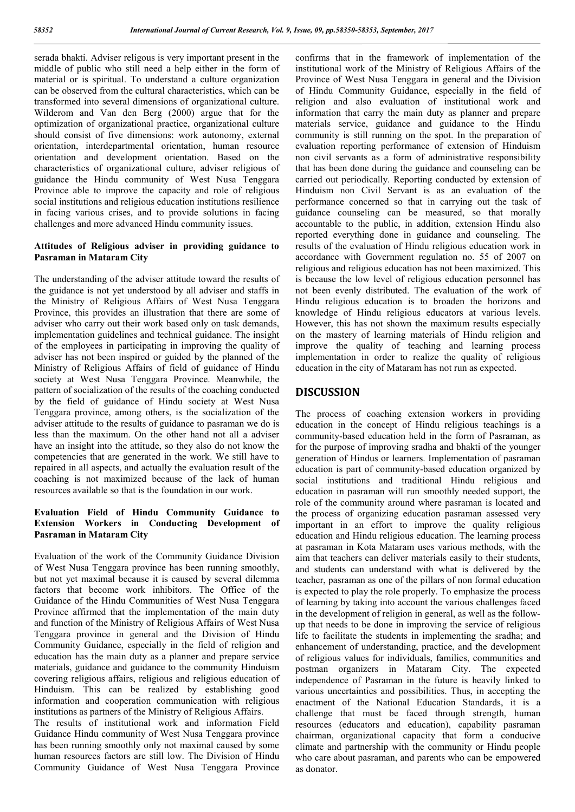serada bhakti. Adviser religous is very important present in the middle of public who still need a help either in the form of material or is spiritual. To understand a culture organization can be observed from the cultural characteristics, which can be transformed into several dimensions of organizational culture. Wilderom and Van den Berg (2000) argue that for the optimization of organizational practice, organizational culture should consist of five dimensions: work autonomy, external orientation, interdepartmental orientation, human resource orientation and development orientation. Based on the characteristics of organizational culture, adviser religious of guidance the Hindu community of West Nusa Tenggara Province able to improve the capacity and role of religious social institutions and religious education institutions resilience in facing various crises, and to provide solutions in facing challenges and more advanced Hindu community issues.

#### **Attitudes of Religious adviser in providing guidance to Pasraman in Mataram City**

The understanding of the adviser attitude toward the results of the guidance is not yet understood by all adviser and staffs in the Ministry of Religious Affairs of West Nusa Tenggara Province, this provides an illustration that there are some of adviser who carry out their work based only on task demands, implementation guidelines and technical guidance. The insight of the employees in participating in improving the quality of adviser has not been inspired or guided by the planned of the Ministry of Religious Affairs of field of guidance of Hindu society at West Nusa Tenggara Province. Meanwhile, the pattern of socialization of the results of the coaching conducted by the field of guidance of Hindu society at West Nusa Tenggara province, among others, is the socialization of the adviser attitude to the results of guidance to pasraman we do is less than the maximum. On the other hand not all a adviser have an insight into the attitude, so they also do not know the competencies that are generated in the work. We still have to repaired in all aspects, and actually the evaluation result of the coaching is not maximized because of the lack of human resources available so that is the foundation in our work.

### **Evaluation Field of Hindu Community Guidance to Extension Workers in Conducting Development of Pasraman in Mataram City**

Evaluation of the work of the Community Guidance Division of West Nusa Tenggara province has been running smoothly, but not yet maximal because it is caused by several dilemma factors that become work inhibitors. The Office of the Guidance of the Hindu Communities of West Nusa Tenggara Province affirmed that the implementation of the main duty and function of the Ministry of Religious Affairs of West Nusa Tenggara province in general and the Division of Hindu Community Guidance, especially in the field of religion and education has the main duty as a planner and prepare service materials, guidance and guidance to the community Hinduism covering religious affairs, religious and religious education of Hinduism. This can be realized by establishing good information and cooperation communication with religious institutions as partners of the Ministry of Religious Affairs.

The results of institutional work and information Field Guidance Hindu community of West Nusa Tenggara province has been running smoothly only not maximal caused by some human resources factors are still low. The Division of Hindu Community Guidance of West Nusa Tenggara Province

confirms that in the framework of implementation of the institutional work of the Ministry of Religious Affairs of the Province of West Nusa Tenggara in general and the Division of Hindu Community Guidance, especially in the field of religion and also evaluation of institutional work and information that carry the main duty as planner and prepare materials service, guidance and guidance to the Hindu community is still running on the spot. In the preparation of evaluation reporting performance of extension of Hinduism non civil servants as a form of administrative responsibility that has been done during the guidance and counseling can be carried out periodically. Reporting conducted by extension of Hinduism non Civil Servant is as an evaluation of the performance concerned so that in carrying out the task of guidance counseling can be measured, so that morally accountable to the public, in addition, extension Hindu also reported everything done in guidance and counseling. The results of the evaluation of Hindu religious education work in accordance with Government regulation no. 55 of 2007 on religious and religious education has not been maximized. This is because the low level of religious education personnel has not been evenly distributed. The evaluation of the work of Hindu religious education is to broaden the horizons and knowledge of Hindu religious educators at various levels. However, this has not shown the maximum results especially on the mastery of learning materials of Hindu religion and improve the quality of teaching and learning process implementation in order to realize the quality of religious education in the city of Mataram has not run as expected.

### **DISCUSSION**

The process of coaching extension workers in providing education in the concept of Hindu religious teachings is a community-based education held in the form of Pasraman, as for the purpose of improving sradha and bhakti of the younger generation of Hindus or learners. Implementation of pasraman education is part of community-based education organized by social institutions and traditional Hindu religious and education in pasraman will run smoothly needed support, the role of the community around where pasraman is located and the process of organizing education pasraman assessed very important in an effort to improve the quality religious education and Hindu religious education. The learning process at pasraman in Kota Mataram uses various methods, with the aim that teachers can deliver materials easily to their students, and students can understand with what is delivered by the teacher, pasraman as one of the pillars of non formal education is expected to play the role properly. To emphasize the process of learning by taking into account the various challenges faced in the development of religion in general, as well as the followup that needs to be done in improving the service of religious life to facilitate the students in implementing the sradha; and enhancement of understanding, practice, and the development of religious values for individuals, families, communities and postman organizers in Mataram City. The expected independence of Pasraman in the future is heavily linked to various uncertainties and possibilities. Thus, in accepting the enactment of the National Education Standards, it is a challenge that must be faced through strength, human resources (educators and education), capability pasraman chairman, organizational capacity that form a conducive climate and partnership with the community or Hindu people who care about pasraman, and parents who can be empowered as donator.